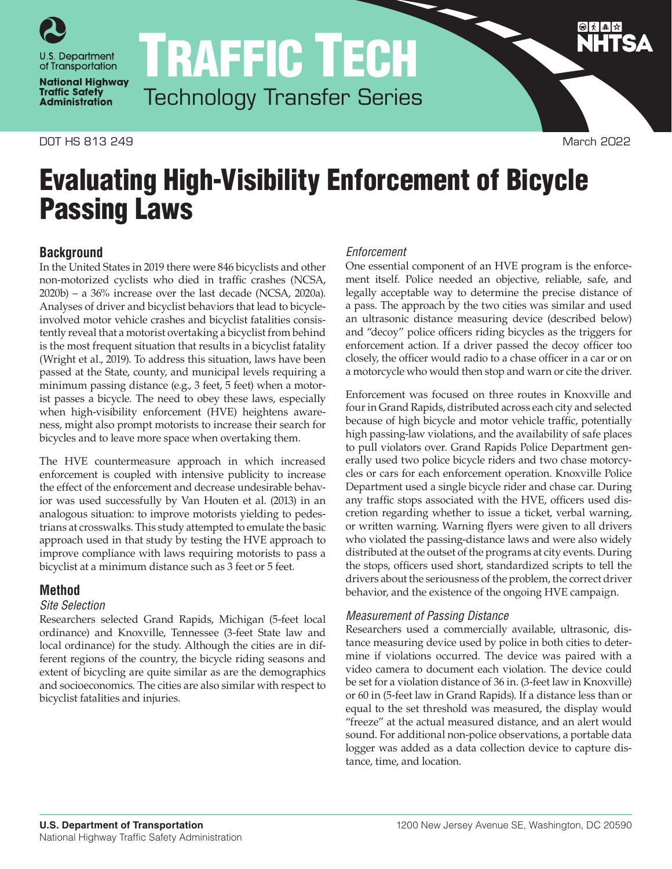

**National Highway Traffic Safety Administration** 

DOT HS 813 249 March 2022

Passing Laws

TRAFFIC TECH Technology Transfer Series

Evaluating High-Visibility Enforcement of Bicycle

### *Enforcement*

**Background** In the United States in 2019 there were 846 bicyclists and other non-motorized cyclists who died in traffic crashes (NCSA, 2020b) – a 36% increase over the last decade (NCSA, 2020a). Analyses of driver and bicyclist behaviors that lead to bicycleinvolved motor vehicle crashes and bicyclist fatalities consistently reveal that a motorist overtaking a bicyclist from behind is the most frequent situation that results in a bicyclist fatality (Wright et al., 2019). To address this situation, laws have been passed at the State, county, and municipal levels requiring a minimum passing distance (e.g., 3 feet, 5 feet) when a motorist passes a bicycle. The need to obey these laws, especially when high-visibility enforcement (HVE) heightens awareness, might also prompt motorists to increase their search for bicycles and to leave more space when overtaking them.

The HVE countermeasure approach in which increased enforcement is coupled with intensive publicity to increase the effect of the enforcement and decrease undesirable behavior was used successfully by Van Houten et al. (2013) in an analogous situation: to improve motorists yielding to pedestrians at crosswalks. This study attempted to emulate the basic approach used in that study by testing the HVE approach to improve compliance with laws requiring motorists to pass a bicyclist at a minimum distance such as 3 feet or 5 feet.

# **Method**

#### *Site Selection*

Researchers selected Grand Rapids, Michigan (5-feet local ordinance) and Knoxville, Tennessee (3-feet State law and local ordinance) for the study. Although the cities are in different regions of the country, the bicycle riding seasons and extent of bicycling are quite similar as are the demographics and socioeconomics. The cities are also similar with respect to bicyclist fatalities and injuries.

One essential component of an HVE program is the enforcement itself. Police needed an objective, reliable, safe, and legally acceptable way to determine the precise distance of a pass. The approach by the two cities was similar and used an ultrasonic distance measuring device (described below) and "decoy" police officers riding bicycles as the triggers for enforcement action. If a driver passed the decoy officer too closely, the officer would radio to a chase officer in a car or on a motorcycle who would then stop and warn or cite the driver.

Enforcement was focused on three routes in Knoxville and four in Grand Rapids, distributed across each city and selected because of high bicycle and motor vehicle traffic, potentially high passing-law violations, and the availability of safe places to pull violators over. Grand Rapids Police Department generally used two police bicycle riders and two chase motorcycles or cars for each enforcement operation. Knoxville Police Department used a single bicycle rider and chase car. During any traffic stops associated with the HVE, officers used discretion regarding whether to issue a ticket, verbal warning, or written warning. Warning flyers were given to all drivers who violated the passing-distance laws and were also widely distributed at the outset of the programs at city events. During the stops, officers used short, standardized scripts to tell the drivers about the seriousness of the problem, the correct driver behavior, and the existence of the ongoing HVE campaign.

# *Measurement of Passing Distance*

Researchers used a commercially available, ultrasonic, distance measuring device used by police in both cities to determine if violations occurred. The device was paired with a video camera to document each violation. The device could be set for a violation distance of 36 in. (3-feet law in Knoxville) or 60 in (5-feet law in Grand Rapids). If a distance less than or equal to the set threshold was measured, the display would "freeze" at the actual measured distance, and an alert would sound. For additional non-police observations, a portable data logger was added as a data collection device to capture distance, time, and location.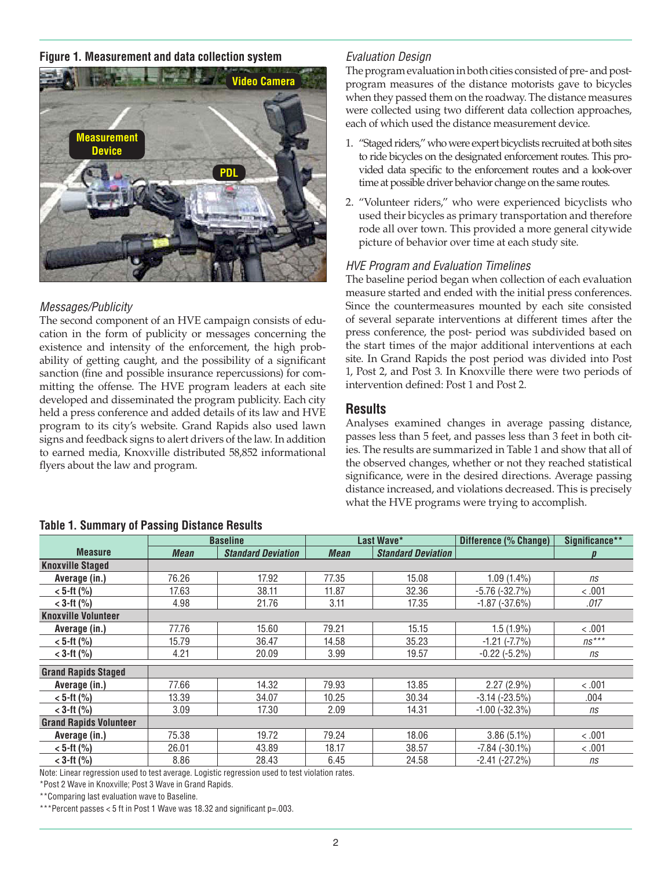### **Figure 1. Measurement and data collection system**



### *Messages/Publicity*

The second component of an HVE campaign consists of education in the form of publicity or messages concerning the existence and intensity of the enforcement, the high probability of getting caught, and the possibility of a significant sanction (fine and possible insurance repercussions) for committing the offense. The HVE program leaders at each site developed and disseminated the program publicity. Each city held a press conference and added details of its law and HVE program to its city's website. Grand Rapids also used lawn signs and feedback signs to alert drivers of the law. In addition to earned media, Knoxville distributed 58,852 informational flyers about the law and program.

# **Table 1. Summary of Passing Distance Results**

|  | <b>Evaluation Design</b> |
|--|--------------------------|
|--|--------------------------|

The program evaluation in both cities consisted of pre- and postprogram measures of the distance motorists gave to bicycles when they passed them on the roadway. The distance measures were collected using two different data collection approaches, each of which used the distance measurement device.

- 1. "Staged riders," who were expert bicyclists recruited at both sites to ride bicycles on the designated enforcement routes. This provided data specific to the enforcement routes and a look-over time at possible driver behavior change on the same routes.
- 2. "Volunteer riders," who were experienced bicyclists who used their bicycles as primary transportation and therefore rode all over town. This provided a more general citywide picture of behavior over time at each study site.

#### *HVE Program and Evaluation Timelines*

The baseline period began when collection of each evaluation measure started and ended with the initial press conferences. Since the countermeasures mounted by each site consisted of several separate interventions at different times after the press conference, the post- period was subdivided based on the start times of the major additional interventions at each site. In Grand Rapids the post period was divided into Post 1, Post 2, and Post 3. In Knoxville there were two periods of intervention defined: Post 1 and Post 2.

# **Results**

Analyses examined changes in average passing distance, passes less than 5 feet, and passes less than 3 feet in both cities. The results are summarized in Table 1 and show that all of the observed changes, whether or not they reached statistical significance, were in the desired directions. Average passing distance increased, and violations decreased. This is precisely what the HVE programs were trying to accomplish.

|                               | <b>Baseline</b> |                           |             | Last Wave*                | Difference (% Change) | Significance** |
|-------------------------------|-----------------|---------------------------|-------------|---------------------------|-----------------------|----------------|
| <b>Measure</b>                | <b>Mean</b>     | <b>Standard Deviation</b> | <b>Mean</b> | <b>Standard Deviation</b> |                       |                |
| <b>Knoxville Staged</b>       |                 |                           |             |                           |                       |                |
| Average (in.)                 | 76.26           | 17.92                     | 77.35       | 15.08                     | $1.09(1.4\%)$         | ns             |
| $< 5$ -ft (%)                 | 17.63           | 38.11                     | 11.87       | 32.36                     | $-5.76$ ( $-32.7%$ )  | < 0.01         |
| $<$ 3-ft (%)                  | 4.98            | 21.76                     | 3.11        | 17.35                     | $-1.87(-37.6%)$       | .017           |
| <b>Knoxville Volunteer</b>    |                 |                           |             |                           |                       |                |
| Average (in.)                 | 77.76           | 15.60                     | 79.21       | 15.15                     | $1.5(1.9\%)$          | < .001         |
| $< 5$ -ft (%)                 | 15.79           | 36.47                     | 14.58       | 35.23                     | $-1.21$ $(-7.7%)$     | $ns***$        |
| $<$ 3-ft (%)                  | 4.21            | 20.09                     | 3.99        | 19.57                     | $-0.22$ ( $-5.2\%$ )  | ns             |
| <b>Grand Rapids Staged</b>    |                 |                           |             |                           |                       |                |
| Average (in.)                 | 77.66           | 14.32                     | 79.93       | 13.85                     | $2.27(2.9\%)$         | < 0.01         |
| $< 5$ -ft $(%)$               | 13.39           | 34.07                     | 10.25       | 30.34                     | $-3.14$ $(-23.5%)$    | .004           |
| $<$ 3-ft (%)                  | 3.09            | 17.30                     | 2.09        | 14.31                     | $-1.00$ $(-32.3%)$    | ns             |
| <b>Grand Rapids Volunteer</b> |                 |                           |             |                           |                       |                |
| Average (in.)                 | 75.38           | 19.72                     | 79.24       | 18.06                     | $3.86(5.1\%)$         | < 0.01         |
| $< 5$ -ft $(%)$               | 26.01           | 43.89                     | 18.17       | 38.57                     | $-7.84$ $(-30.1\%)$   | < 0.01         |
| $<$ 3-ft (%)                  | 8.86            | 28.43                     | 6.45        | 24.58                     | $-2.41$ $(-27.2%)$    | ns             |

Note: Linear regression used to test average. Logistic regression used to test violation rates.

\*Post 2 Wave in Knoxville; Post 3 Wave in Grand Rapids.

\*\*Comparing last evaluation wave to Baseline.

\*\*\*Percent passes < 5 ft in Post 1 Wave was 18.32 and significant p=.003.